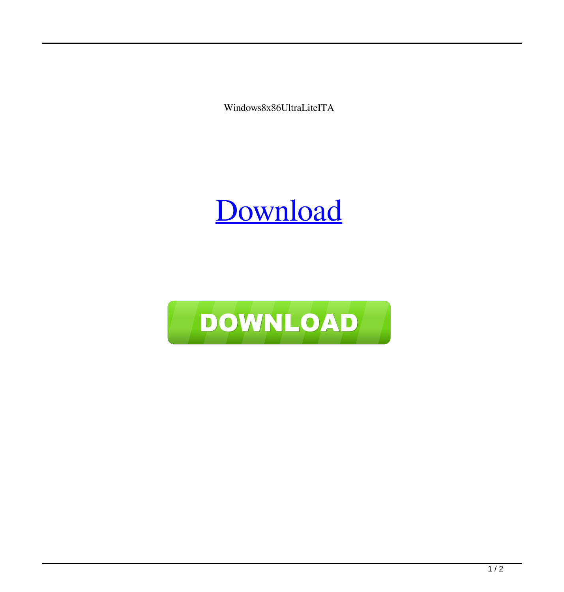Windows8x86UltraLiteITA